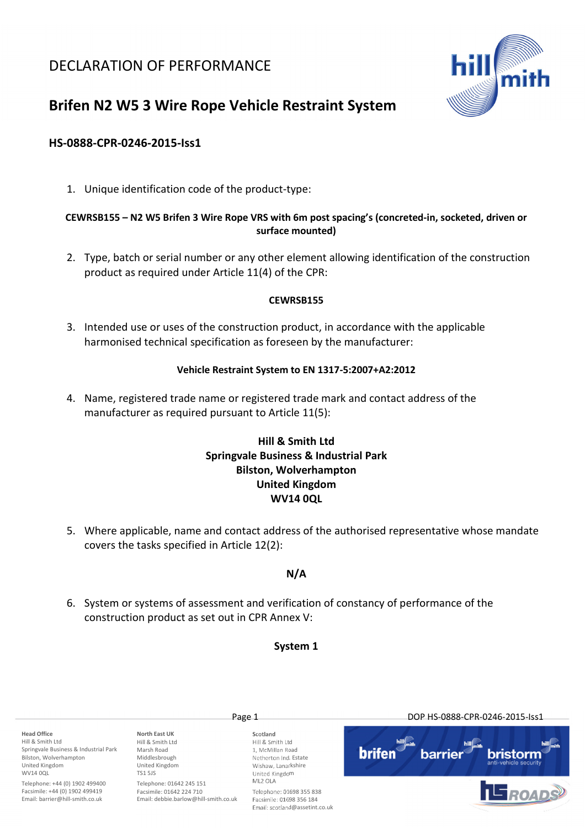## DECLARATION OF PERFORMANCE



# Brifen N2 W5 3 Wire Rope Vehicle Restraint System

## HS-0888-CPR-0246-2015-Iss1

1. Unique identification code of the product-type:

## CEWRSB155 – N2 W5 Brifen 3 Wire Rope VRS with 6m post spacing's (concreted-in, socketed, driven or surface mounted)

2. Type, batch or serial number or any other element allowing identification of the construction product as required under Article 11(4) of the CPR:

## CEWRSB155

3. Intended use or uses of the construction product, in accordance with the applicable harmonised technical specification as foreseen by the manufacturer:

## Vehicle Restraint System to EN 1317-5:2007+A2:2012

4. Name, registered trade name or registered trade mark and contact address of the manufacturer as required pursuant to Article 11(5):

## Hill & Smith Ltd Springvale Business & Industrial Park Bilston, Wolverhampton United Kingdom WV14 0QL

5. Where applicable, name and contact address of the authorised representative whose mandate covers the tasks specified in Article 12(2):

## N/A

6. System or systems of assessment and verification of constancy of performance of the construction product as set out in CPR Annex V:

## System 1

Head Office Hill & Smith Ltd Springvale Business & Industrial Park Bilston, Wolverhampton United Kingdom WV14 00L

Telephone: +44 (0) 1902 499400 Facsimile: +44 (0) 1902 499419 Email: barrier@hill-smith.co.uk

North East UK Hill & Smith Ltd Marsh Road Middlesbrough United Kingdom TS1 5JS Telephone: 01642 245 151

Facsimile: 01642 224 710 Email: debbie.barlow@hill-smith.co.uk

Scotland Hill & Smith Ltd 1, McMillan Road Netherton Ind. Estate Wishaw, Lanarkshire United Kingdom ML2 OLA

Telephone: 01698 355 838 Facsimile: 01698 356 184 Email: scotland@assetint.co.uk

Page 1 DOP HS-0888-CPR-0246-2015-Iss1